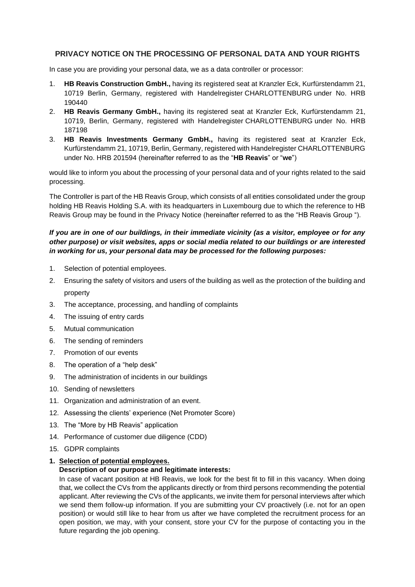# **PRIVACY NOTICE ON THE PROCESSING OF PERSONAL DATA AND YOUR RIGHTS**

In case you are providing your personal data, we as a data controller or processor:

- 1. **HB Reavis Construction GmbH.,** having its registered seat at Kranzler Eck, Kurfürstendamm 21, 10719 Berlin, Germany, registered with Handelregister CHARLOTTENBURG under No. HRB 190440
- 2. **HB Reavis Germany GmbH.,** having its registered seat at Kranzler Eck, Kurfürstendamm 21, 10719, Berlin, Germany, registered with Handelregister CHARLOTTENBURG under No. HRB 187198
- 3. **HB Reavis Investments Germany GmbH.,** having its registered seat at Kranzler Eck, Kurfürstendamm 21, 10719, Berlin, Germany, registered with Handelregister CHARLOTTENBURG under No. HRB 201594 (hereinafter referred to as the "**HB Reavis**" or "**we**")

would like to inform you about the processing of your personal data and of your rights related to the said processing.

The Controller is part of the HB Reavis Group, which consists of all entities consolidated under the group holding HB Reavis Holding S.A. with its headquarters in Luxembourg due to which the reference to HB Reavis Group may be found in the Privacy Notice (hereinafter referred to as the "HB Reavis Group ").

# *If you are in one of our buildings, in their immediate vicinity (as a visitor, employee or for any other purpose) or visit websites, apps or social media related to our buildings or are interested in working for us, your personal data may be processed for the following purposes:*

- 1. Selection of potential employees.
- 2. Ensuring the safety of visitors and users of the building as well as the protection of the building and property
- 3. The acceptance, processing, and handling of complaints
- 4. The issuing of entry cards
- 5. Mutual communication
- 6. The sending of reminders
- 7. Promotion of our events
- 8. The operation of a "help desk"
- 9. The administration of incidents in our buildings
- 10. Sending of newsletters
- 11. Organization and administration of an event.
- 12. Assessing the clients' experience (Net Promoter Score)
- 13. The "More by HB Reavis" application
- 14. Performance of customer due diligence (CDD)
- 15. GDPR complaints

# **1. Selection of potential employees.**

## **Description of our purpose and legitimate interests:**

In case of vacant position at HB Reavis, we look for the best fit to fill in this vacancy. When doing that, we collect the CVs from the applicants directly or from third persons recommending the potential applicant. After reviewing the CVs of the applicants, we invite them for personal interviews after which we send them follow-up information. If you are submitting your CV proactively (i.e. not for an open position) or would still like to hear from us after we have completed the recruitment process for an open position, we may, with your consent, store your CV for the purpose of contacting you in the future regarding the job opening.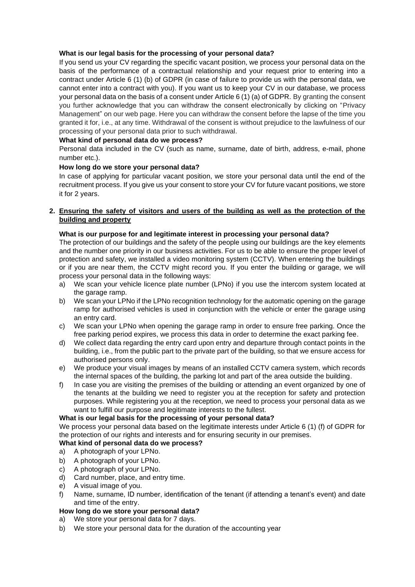## **What is our legal basis for the processing of your personal data?**

If you send us your CV regarding the specific vacant position, we process your personal data on the basis of the performance of a contractual relationship and your request prior to entering into a contract under Article 6 (1) (b) of GDPR (in case of failure to provide us with the personal data, we cannot enter into a contract with you). If you want us to keep your CV in our database, we process your personal data on the basis of a consent under Article 6 (1) (a) of GDPR. By granting the consent you further acknowledge that you can withdraw the consent electronically by clicking on "Privacy Management" on our web page. Here you can withdraw the consent before the lapse of the time you granted it for, i.e., at any time. Withdrawal of the consent is without prejudice to the lawfulness of our processing of your personal data prior to such withdrawal.

# **What kind of personal data do we process?**

Personal data included in the CV (such as name, surname, date of birth, address, e-mail, phone number etc.).

## **How long do we store your personal data?**

In case of applying for particular vacant position, we store your personal data until the end of the recruitment process. If you give us your consent to store your CV for future vacant positions, we store it for 2 years.

# **2. Ensuring the safety of visitors and users of the building as well as the protection of the building and property**

## **What is our purpose for and legitimate interest in processing your personal data?**

The protection of our buildings and the safety of the people using our buildings are the key elements and the number one priority in our business activities. For us to be able to ensure the proper level of protection and safety, we installed a video monitoring system (CCTV). When entering the buildings or if you are near them, the CCTV might record you. If you enter the building or garage, we will process your personal data in the following ways:

- a) We scan your vehicle licence plate number (LPNo) if you use the intercom system located at the garage ramp.
- b) We scan your LPNo if the LPNo recognition technology for the automatic opening on the garage ramp for authorised vehicles is used in conjunction with the vehicle or enter the garage using an entry card.
- c) We scan your LPNo when opening the garage ramp in order to ensure free parking. Once the free parking period expires, we process this data in order to determine the exact parking fee.
- d) We collect data regarding the entry card upon entry and departure through contact points in the building, i.e., from the public part to the private part of the building, so that we ensure access for authorised persons only.
- e) We produce your visual images by means of an installed CCTV camera system, which records the internal spaces of the building, the parking lot and part of the area outside the building.
- f) In case you are visiting the premises of the building or attending an event organized by one of the tenants at the building we need to register you at the reception for safety and protection purposes. While registering you at the reception, we need to process your personal data as we want to fulfill our purpose and legitimate interests to the fullest.

# **What is our legal basis for the processing of your personal data?**

We process your personal data based on the legitimate interests under Article 6 (1) (f) of GDPR for the protection of our rights and interests and for ensuring security in our premises.

## **What kind of personal data do we process?**

- a) A photograph of your LPNo.
- b) A photograph of your LPNo.
- c) A photograph of your LPNo.
- d) Card number, place, and entry time.
- e) A visual image of you.
- f) Name, surname, ID number, identification of the tenant (if attending a tenant's event) and date and time of the entry.

## **How long do we store your personal data?**

- a) We store your personal data for 7 days.
- b) We store your personal data for the duration of the accounting year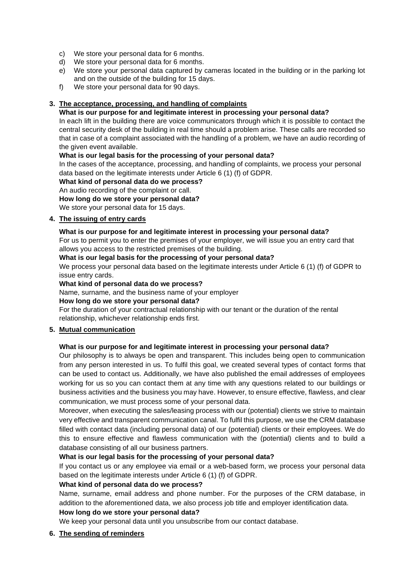- c) We store your personal data for 6 months.
- d) We store your personal data for 6 months.
- e) We store your personal data captured by cameras located in the building or in the parking lot and on the outside of the building for 15 days.
- f) We store your personal data for 90 days.

## **3. The acceptance, processing, and handling of complaints**

## **What is our purpose for and legitimate interest in processing your personal data?**

In each lift in the building there are voice communicators through which it is possible to contact the central security desk of the building in real time should a problem arise. These calls are recorded so that in case of a complaint associated with the handling of a problem, we have an audio recording of the given event available.

#### **What is our legal basis for the processing of your personal data?**

In the cases of the acceptance, processing, and handling of complaints, we process your personal data based on the legitimate interests under Article 6 (1) (f) of GDPR.

#### **What kind of personal data do we process?**

An audio recording of the complaint or call.

**How long do we store your personal data?**

We store your personal data for 15 days.

## **4. The issuing of entry cards**

## **What is our purpose for and legitimate interest in processing your personal data?**

For us to permit you to enter the premises of your employer, we will issue you an entry card that allows you access to the restricted premises of the building.

#### **What is our legal basis for the processing of your personal data?**

We process your personal data based on the legitimate interests under Article 6 (1) (f) of GDPR to issue entry cards.

#### **What kind of personal data do we process?**

Name, surname, and the business name of your employer

## **How long do we store your personal data?**

For the duration of your contractual relationship with our tenant or the duration of the rental relationship, whichever relationship ends first.

## **5. Mutual communication**

## **What is our purpose for and legitimate interest in processing your personal data?**

Our philosophy is to always be open and transparent. This includes being open to communication from any person interested in us. To fulfil this goal, we created several types of contact forms that can be used to contact us. Additionally, we have also published the email addresses of employees working for us so you can contact them at any time with any questions related to our buildings or business activities and the business you may have. However, to ensure effective, flawless, and clear communication, we must process some of your personal data.

Moreover, when executing the sales/leasing process with our (potential) clients we strive to maintain very effective and transparent communication canal. To fulfil this purpose, we use the CRM database filled with contact data (including personal data) of our (potential) clients or their employees. We do this to ensure effective and flawless communication with the (potential) clients and to build a database consisting of all our business partners.

## **What is our legal basis for the processing of your personal data?**

If you contact us or any employee via email or a web-based form, we process your personal data based on the legitimate interests under Article 6 (1) (f) of GDPR.

## **What kind of personal data do we process?**

Name, surname, email address and phone number. For the purposes of the CRM database, in addition to the aforementioned data, we also process job title and employer identification data.

## **How long do we store your personal data?**

We keep your personal data until you unsubscribe from our contact database.

## **6. The sending of reminders**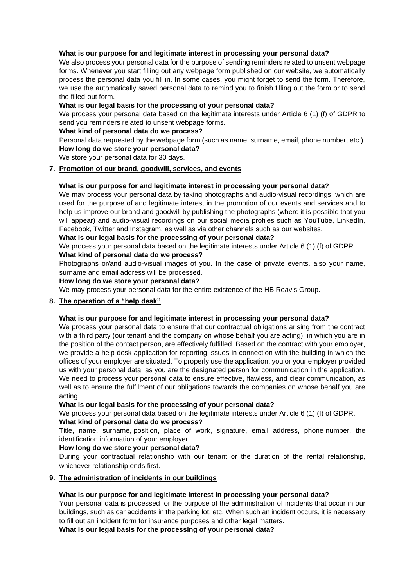#### **What is our purpose for and legitimate interest in processing your personal data?**

We also process your personal data for the purpose of sending reminders related to unsent webpage forms. Whenever you start filling out any webpage form published on our website, we automatically process the personal data you fill in. In some cases, you might forget to send the form. Therefore, we use the automatically saved personal data to remind you to finish filling out the form or to send the filled-out form.

#### **What is our legal basis for the processing of your personal data?**

We process your personal data based on the legitimate interests under Article 6 (1) (f) of GDPR to send you reminders related to unsent webpage forms.

#### **What kind of personal data do we process?**

Personal data requested by the webpage form (such as name, surname, email, phone number, etc.). **How long do we store your personal data?**

We store your personal data for 30 days.

#### **7. Promotion of our brand, goodwill, services, and events**

#### **What is our purpose for and legitimate interest in processing your personal data?**

We may process your personal data by taking photographs and audio-visual recordings, which are used for the purpose of and legitimate interest in the promotion of our events and services and to help us improve our brand and goodwill by publishing the photographs (where it is possible that you will appear) and audio-visual recordings on our social media profiles such as YouTube, LinkedIn, Facebook, Twitter and Instagram, as well as via other channels such as our websites.

#### **What is our legal basis for the processing of your personal data?**

We process your personal data based on the legitimate interests under Article 6 (1) (f) of GDPR.

#### **What kind of personal data do we process?**

Photographs or/and audio-visual images of you. In the case of private events, also your name, surname and email address will be processed.

#### **How long do we store your personal data?**

We may process your personal data for the entire existence of the HB Reavis Group.

## **8. The operation of a "help desk"**

#### **What is our purpose for and legitimate interest in processing your personal data?**

We process your personal data to ensure that our contractual obligations arising from the contract with a third party (our tenant and the company on whose behalf you are acting), in which you are in the position of the contact person, are effectively fulfilled. Based on the contract with your employer, we provide a help desk application for reporting issues in connection with the building in which the offices of your employer are situated. To properly use the application, you or your employer provided us with your personal data, as you are the designated person for communication in the application. We need to process your personal data to ensure effective, flawless, and clear communication, as well as to ensure the fulfilment of our obligations towards the companies on whose behalf you are acting.

#### **What is our legal basis for the processing of your personal data?**

We process your personal data based on the legitimate interests under Article 6 (1) (f) of GDPR. **What kind of personal data do we process?**

Title, name, surname, position, place of work, signature, email address, phone number, the identification information of your employer.

#### **How long do we store your personal data?**

During your contractual relationship with our tenant or the duration of the rental relationship, whichever relationship ends first.

## **9. The administration of incidents in our buildings**

## **What is our purpose for and legitimate interest in processing your personal data?**

Your personal data is processed for the purpose of the administration of incidents that occur in our buildings, such as car accidents in the parking lot, etc. When such an incident occurs, it is necessary to fill out an incident form for insurance purposes and other legal matters.

**What is our legal basis for the processing of your personal data?**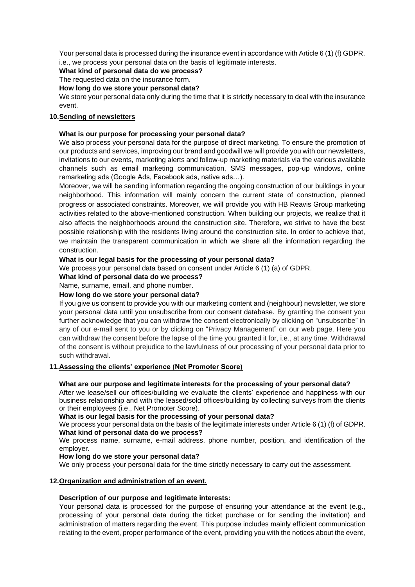Your personal data is processed during the insurance event in accordance with Article 6 (1) (f) GDPR, i.e., we process your personal data on the basis of legitimate interests.

**What kind of personal data do we process?**

The requested data on the insurance form.

**How long do we store your personal data?**

We store your personal data only during the time that it is strictly necessary to deal with the insurance event.

## **10.Sending of newsletters**

## **What is our purpose for processing your personal data?**

We also process your personal data for the purpose of direct marketing. To ensure the promotion of our products and services, improving our brand and goodwill we will provide you with our newsletters, invitations to our events, marketing alerts and follow-up marketing materials via the various available channels such as email marketing communication, SMS messages, pop-up windows, online remarketing ads (Google Ads, Facebook ads, native ads…).

Moreover, we will be sending information regarding the ongoing construction of our buildings in your neighborhood. This information will mainly concern the current state of construction, planned progress or associated constraints. Moreover, we will provide you with HB Reavis Group marketing activities related to the above-mentioned construction. When building our projects, we realize that it also affects the neighborhoods around the construction site. Therefore, we strive to have the best possible relationship with the residents living around the construction site. In order to achieve that, we maintain the transparent communication in which we share all the information regarding the construction.

## **What is our legal basis for the processing of your personal data?**

We process your personal data based on consent under Article 6 (1) (a) of GDPR.

# **What kind of personal data do we process?**

Name, surname, email, and phone number.

## **How long do we store your personal data?**

If you give us consent to provide you with our marketing content and (neighbour) newsletter, we store your personal data until you unsubscribe from our consent database. By granting the consent you further acknowledge that you can withdraw the consent electronically by clicking on "unsubscribe" in any of our e-mail sent to you or by clicking on "Privacy Management" on our web page. Here you can withdraw the consent before the lapse of the time you granted it for, i.e., at any time. Withdrawal of the consent is without prejudice to the lawfulness of our processing of your personal data prior to such withdrawal.

## **11.Assessing the clients' experience (Net Promoter Score)**

## **What are our purpose and legitimate interests for the processing of your personal data?**

After we lease/sell our offices/building we evaluate the clients' experience and happiness with our business relationship and with the leased/sold offices/building by collecting surveys from the clients or their employees (i.e., Net Promoter Score).

## **What is our legal basis for the processing of your personal data?**

We process your personal data on the basis of the legitimate interests under Article 6 (1) (f) of GDPR. **What kind of personal data do we process?**

We process name, surname, e-mail address, phone number, position, and identification of the employer.

## **How long do we store your personal data?**

We only process your personal data for the time strictly necessary to carry out the assessment.

## **12.Organization and administration of an event.**

## **Description of our purpose and legitimate interests:**

Your personal data is processed for the purpose of ensuring your attendance at the event (e.g., processing of your personal data during the ticket purchase or for sending the invitation) and administration of matters regarding the event. This purpose includes mainly efficient communication relating to the event, proper performance of the event, providing you with the notices about the event,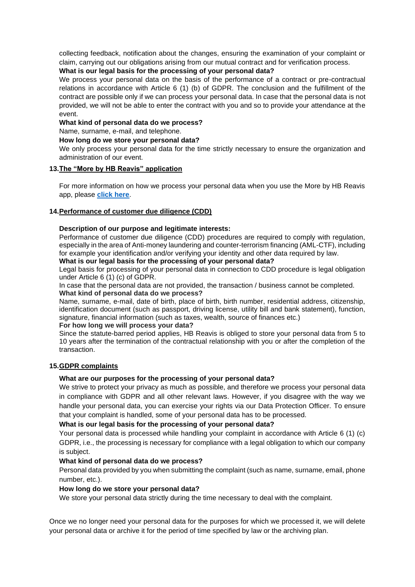collecting feedback, notification about the changes, ensuring the examination of your complaint or claim, carrying out our obligations arising from our mutual contract and for verification process.

## **What is our legal basis for the processing of your personal data?**

We process your personal data on the basis of the performance of a contract or pre-contractual relations in accordance with Article 6 (1) (b) of GDPR. The conclusion and the fulfillment of the contract are possible only if we can process your personal data. In case that the personal data is not provided, we will not be able to enter the contract with you and so to provide your attendance at the event.

**What kind of personal data do we process?**

Name, surname, e-mail, and telephone.

## **How long do we store your personal data?**

We only process your personal data for the time strictly necessary to ensure the organization and administration of our event.

#### **13.The "More by HB Reavis" application**

For more information on how we process your personal data when you use the More by HB Reavis app, please **[click here](https://hbreavis.com/wp-content/uploads/2022/04/GDPR_PrivacyNotice_AllActivities_MorebyHBReavis_ENG_20220323.pdf)**.

## **14.Performance of customer due diligence (CDD)**

## **Description of our purpose and legitimate interests:**

Performance of customer due diligence (CDD) procedures are required to comply with regulation, especially in the area of Anti-money laundering and counter-terrorism financing (AML-CTF), including for example your identification and/or verifying your identity and other data required by law.

## **What is our legal basis for the processing of your personal data?**

Legal basis for processing of your personal data in connection to CDD procedure is legal obligation under Article 6 (1) (c) of GDPR.

In case that the personal data are not provided, the transaction / business cannot be completed. **What kind of personal data do we process?**

Name, surname, e-mail, date of birth, place of birth, birth number, residential address, citizenship, identification document (such as passport, driving license, utility bill and bank statement), function, signature, financial information (such as taxes, wealth, source of finances etc.)

## **For how long we will process your data?**

Since the statute-barred period applies, HB Reavis is obliged to store your personal data from 5 to 10 years after the termination of the contractual relationship with you or after the completion of the transaction.

## **15.GDPR complaints**

## **What are our purposes for the processing of your personal data?**

We strive to protect your privacy as much as possible, and therefore we process your personal data in compliance with GDPR and all other relevant laws. However, if you disagree with the way we handle your personal data, you can exercise your rights via our Data Protection Officer. To ensure that your complaint is handled, some of your personal data has to be processed.

## **What is our legal basis for the processing of your personal data?**

Your personal data is processed while handling your complaint in accordance with Article 6 (1) (c) GDPR, i.e., the processing is necessary for compliance with a legal obligation to which our company is subject.

## **What kind of personal data do we process?**

Personal data provided by you when submitting the complaint (such as name, surname, email, phone number, etc.).

## **How long do we store your personal data?**

We store your personal data strictly during the time necessary to deal with the complaint.

Once we no longer need your personal data for the purposes for which we processed it, we will delete your personal data or archive it for the period of time specified by law or the archiving plan.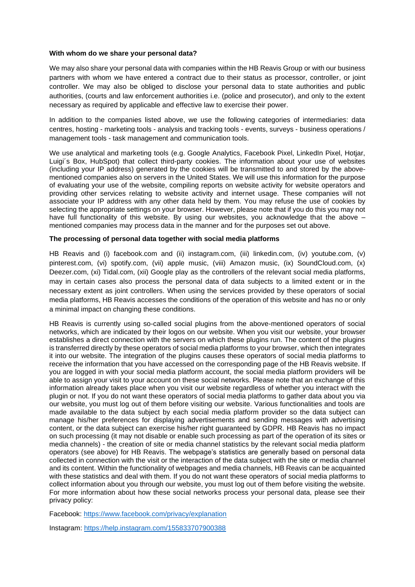#### **With whom do we share your personal data?**

We may also share your personal data with companies within the HB Reavis Group or with our business partners with whom we have entered a contract due to their status as processor, controller, or joint controller. We may also be obliged to disclose your personal data to state authorities and public authorities, (courts and law enforcement authorities i.e. (police and prosecutor), and only to the extent necessary as required by applicable and effective law to exercise their power.

In addition to the companies listed above, we use the following categories of intermediaries: data centres, hosting - marketing tools - analysis and tracking tools - events, surveys - business operations / management tools - task management and communication tools.

We use analytical and marketing tools (e.g. Google Analytics, Facebook Pixel, LinkedIn Pixel, Hotjar, Luigi´s Box, HubSpot) that collect third-party cookies. The information about your use of websites (including your IP address) generated by the cookies will be transmitted to and stored by the abovementioned companies also on servers in the United States. We will use this information for the purpose of evaluating your use of the website, compiling reports on website activity for website operators and providing other services relating to website activity and internet usage. These companies will not associate your IP address with any other data held by them. You may refuse the use of cookies by selecting the appropriate settings on your browser. However, please note that if you do this you may not have full functionality of this website. By using our websites, you acknowledge that the above – mentioned companies may process data in the manner and for the purposes set out above.

#### **The processing of personal data together with social media platforms**

HB Reavis and (i) facebook.com and (ii) instagram.com, (iii) linkedin.com, (iv) youtube.com, (v) pinterest.com, (vi) spotify.com, (vii) apple music, (viii) Amazon music, (ix) SoundCloud.com, (x) Deezer.com, (xi) Tidal.com, (xii) Google play as the controllers of the relevant social media platforms, may in certain cases also process the personal data of data subjects to a limited extent or in the necessary extent as joint controllers. When using the services provided by these operators of social media platforms, HB Reavis accesses the conditions of the operation of this website and has no or only a minimal impact on changing these conditions.

HB Reavis is currently using so-called social plugins from the above-mentioned operators of social networks, which are indicated by their logos on our website. When you visit our website, your browser establishes a direct connection with the servers on which these plugins run. The content of the plugins is transferred directly by these operators of social media platforms to your browser, which then integrates it into our website. The integration of the plugins causes these operators of social media platforms to receive the information that you have accessed on the corresponding page of the HB Reavis website. If you are logged in with your social media platform account, the social media platform providers will be able to assign your visit to your account on these social networks. Please note that an exchange of this information already takes place when you visit our website regardless of whether you interact with the plugin or not. If you do not want these operators of social media platforms to gather data about you via our website, you must log out of them before visiting our website. Various functionalities and tools are made available to the data subject by each social media platform provider so the data subject can manage his/her preferences for displaying advertisements and sending messages with advertising content, or the data subject can exercise his/her right guaranteed by GDPR. HB Reavis has no impact on such processing (it may not disable or enable such processing as part of the operation of its sites or media channels) - the creation of site or media channel statistics by the relevant social media platform operators (see above) for HB Reavis. The webpage's statistics are generally based on personal data collected in connection with the visit or the interaction of the data subject with the site or media channel and its content. Within the functionality of webpages and media channels, HB Reavis can be acquainted with these statistics and deal with them. If you do not want these operators of social media platforms to collect information about you through our website, you must log out of them before visiting the website. For more information about how these social networks process your personal data, please see their privacy policy:

Facebook:<https://www.facebook.com/privacy/explanation>

Instagram:<https://help.instagram.com/155833707900388>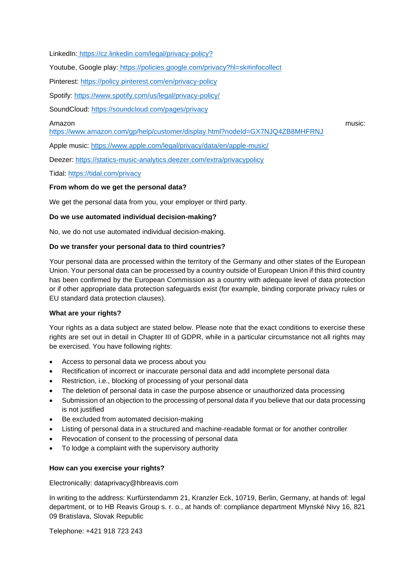LinkedIn: [https://cz.linkedin.com/legal/privacy-policy?](https://cz.linkedin.com/legal/privacy-policy)

Youtube, Google play: <https://policies.google.com/privacy?hl=sk#infocollect>

Pinterest:<https://policy.pinterest.com/en/privacy-policy>

Spotify: <https://www.spotify.com/us/legal/privacy-policy/>

SoundCloud:<https://soundcloud.com/pages/privacy>

#### Amazon music:

<https://www.amazon.com/gp/help/customer/display.html?nodeId=GX7NJQ4ZB8MHFRNJ>

Apple music:<https://www.apple.com/legal/privacy/data/en/apple-music/>

Deezer:<https://statics-music-analytics.deezer.com/extra/privacypolicy>

Tidal:<https://tidal.com/privacy>

#### **From whom do we get the personal data?**

We get the personal data from you, your employer or third party.

#### **Do we use automated individual decision-making?**

No, we do not use automated individual decision-making.

#### **Do we transfer your personal data to third countries?**

Your personal data are processed within the territory of the Germany and other states of the European Union. Your personal data can be processed by a country outside of European Union if this third country has been confirmed by the European Commission as a country with adequate level of data protection or if other appropriate data protection safeguards exist (for example, binding corporate privacy rules or EU standard data protection clauses).

## **What are your rights?**

Your rights as a data subject are stated below. Please note that the exact conditions to exercise these rights are set out in detail in Chapter III of GDPR, while in a particular circumstance not all rights may be exercised. You have following rights:

- Access to personal data we process about you
- Rectification of incorrect or inaccurate personal data and add incomplete personal data
- Restriction, i.e., blocking of processing of your personal data
- The deletion of personal data in case the purpose absence or unauthorized data processing
- Submission of an objection to the processing of personal data if you believe that our data processing is not justified
- Be excluded from automated decision-making
- Listing of personal data in a structured and machine-readable format or for another controller
- Revocation of consent to the processing of personal data
- To lodge a complaint with the supervisory authority

#### **How can you exercise your rights?**

Electronically: dataprivacy@hbreavis.com

In writing to the address: Kurfürstendamm 21, Kranzler Eck, 10719, Berlin, Germany, at hands of: legal department, or to HB Reavis Group s. r. o., at hands of: compliance department Mlynské Nivy 16, 821 09 Bratislava, Slovak Republic

Telephone: +421 918 723 243